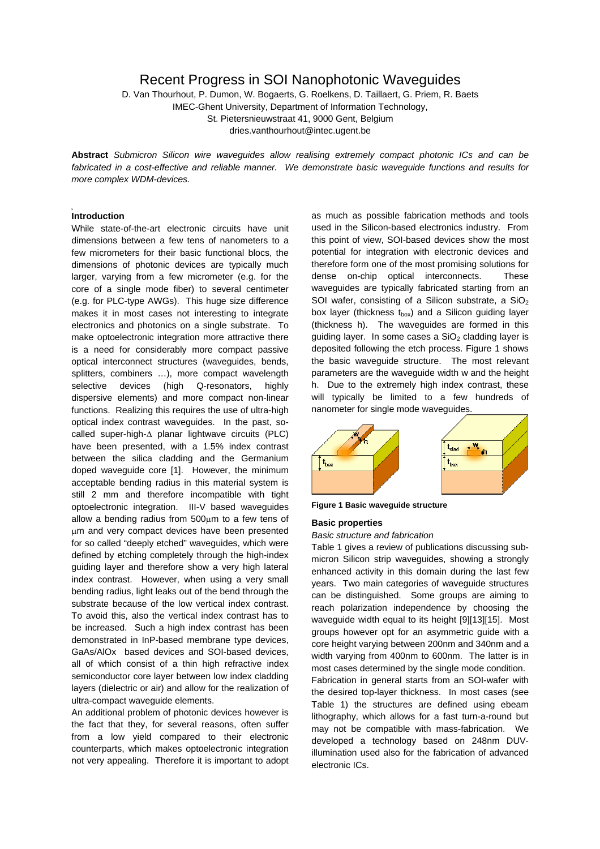# Recent Progress in SOI Nanophotonic Waveguides

D. Van Thourhout, P. Dumon, W. Bogaerts, G. Roelkens, D. Taillaert, G. Priem, R. Baets IMEC-Ghent University, Department of Information Technology, St. Pietersnieuwstraat 41, 9000 Gent, Belgium

dries.vanthourhout@intec.ugent.be

**Abstract** *Submicron Silicon wire waveguides allow realising extremely compact photonic ICs and can be fabricated in a cost-effective and reliable manner. We demonstrate basic waveguide functions and results for more complex WDM-devices.*

## **Introduction**

While state-of-the-art electronic circuits have unit dimensions between a few tens of nanometers to a few micrometers for their basic functional blocs, the dimensions of photonic devices are typically much larger, varying from a few micrometer (e.g. for the core of a single mode fiber) to several centimeter (e.g. for PLC-type AWGs). This huge size difference makes it in most cases not interesting to integrate electronics and photonics on a single substrate. To make optoelectronic integration more attractive there is a need for considerably more compact passive optical interconnect structures (waveguides, bends, splitters, combiners …), more compact wavelength selective devices (high Q-resonators, highly dispersive elements) and more compact non-linear functions. Realizing this requires the use of ultra-high optical index contrast waveguides. In the past, socalled super-high-∆ planar lightwave circuits (PLC) have been presented, with a 1.5% index contrast between the silica cladding and the Germanium doped waveguide core [\[1\].](#page-3-0) However, the minimum acceptable bending radius in this material system is still 2 mm and therefore incompatible with tight optoelectronic integration. III-V based waveguides allow a bending radius from 500µm to a few tens of µm and very compact devices have been presented for so called "deeply etched" waveguides, which were defined by etching completely through the high-index guiding layer and therefore show a very high lateral index contrast. However, when using a very small bending radius, light leaks out of the bend through the substrate because of the low vertical index contrast. To avoid this, also the vertical index contrast has to be increased. Such a high index contrast has been demonstrated in InP-based membrane type devices, GaAs/AlOx based devices and SOI-based devices, all of which consist of a thin high refractive index semiconductor core layer between low index cladding layers (dielectric or air) and allow for the realization of ultra-compact waveguide elements.

An additional problem of photonic devices however is the fact that they, for several reasons, often suffer from a low yield compared to their electronic counterparts, which makes optoelectronic integration not very appealing. Therefore it is important to adopt

as much as possible fabrication methods and tools used in the Silicon-based electronics industry. From this point of view, SOI-based devices show the most potential for integration with electronic devices and therefore form one of the most promising solutions for dense on-chip optical interconnects. These waveguides are typically fabricated starting from an SOI wafer, consisting of a Silicon substrate, a SiO<sub>2</sub> box layer (thickness  $t_{box}$ ) and a Silicon guiding layer (thickness h). The waveguides are formed in this guiding layer. In some cases a  $SiO<sub>2</sub>$  cladding layer is deposited following the etch process. [Figure 1](#page-0-0) shows the basic waveguide structure. The most relevant parameters are the waveguide width w and the height h. Due to the extremely high index contrast, these will typically be limited to a few hundreds of nanometer for single mode waveguides.

<span id="page-0-0"></span>

**Figure 1 Basic waveguide structure**

### **Basic properties**

#### *Basic structure and fabrication*

[Table 1](#page-1-0) gives a review of publications discussing submicron Silicon strip waveguides, showing a strongly enhanced activity in this domain during the last few years. Two main categories of waveguide structures can be distinguished. Some groups are aiming to reach polarization independence by choosing the waveguide width equal to its height [\[9\]\[](#page-3-1)[13\]\[](#page-3-2)[15\].](#page-3-3) Most groups however opt for an asymmetric guide with a core height varying between 200nm and 340nm and a width varying from 400nm to 600nm. The latter is in most cases determined by the single mode condition. Fabrication in general starts from an SOI-wafer with the desired top-layer thickness. In most cases (see [Table 1\)](#page-1-0) the structures are defined using ebeam lithography, which allows for a fast turn-a-round but may not be compatible with mass-fabrication. We developed a technology based on 248nm DUVillumination used also for the fabrication of advanced electronic ICs.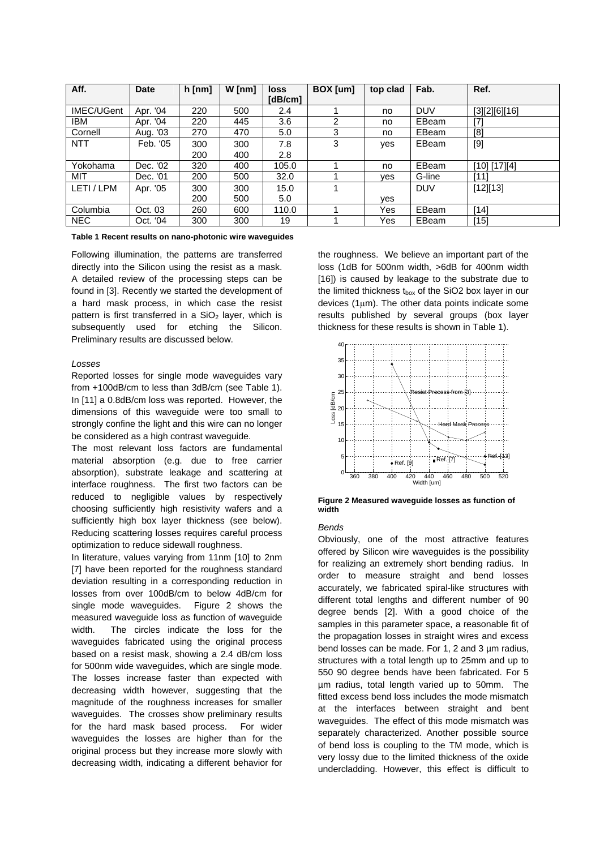| Aff.       | <b>Date</b> | $h$ [nm] | $W$ [nm] | <b>loss</b> | BOX [um] | top clad | Fab.       | Ref.          |
|------------|-------------|----------|----------|-------------|----------|----------|------------|---------------|
|            |             |          |          | [dB/cm]     |          |          |            |               |
| IMEC/UGent | Apr. '04    | 220      | 500      | 2.4         |          | no.      | <b>DUV</b> | [3][2][6][16] |
| IBM        | Apr. '04    | 220      | 445      | 3.6         | 2        | no.      | EBeam      | [7]           |
| Cornell    | Aug. '03    | 270      | 470      | 5.0         | 3        | no       | EBeam      | [8]           |
| <b>NTT</b> | Feb. '05    | 300      | 300      | 7.8         | 3        | yes      | EBeam      | $[9]$         |
|            |             | 200      | 400      | 2.8         |          |          |            |               |
| Yokohama   | Dec. '02    | 320      | 400      | 105.0       |          | no.      | EBeam      | [10] [17][4]  |
| MIT        | Dec. '01    | 200      | 500      | 32.0        |          | ves      | G-line     | $[11]$        |
| LETI / LPM | Apr. '05    | 300      | 300      | 15.0        |          |          | <b>DUV</b> | [12][13]      |
|            |             | 200      | 500      | 5.0         |          | ves      |            |               |
| Columbia   | Oct. 03     | 260      | 600      | 110.0       |          | Yes      | EBeam      | [14]          |
| <b>NEC</b> | Oct. '04    | 300      | 300      | 19          |          | Yes      | EBeam      | [15]          |

#### <span id="page-1-0"></span>**Table 1 Recent results on nano-photonic wire waveguides**

Following illumination, the patterns are transferred directly into the Silicon using the resist as a mask. A detailed review of the processing steps can be found in [\[3\].](#page-3-4) Recently we started the development of a hard mask process, in which case the resist pattern is first transferred in a  $SiO<sub>2</sub>$  layer, which is subsequently used for etching the Silicon. Preliminary results are discussed below.

#### *Losses*

Reported losses for single mode waveguides vary from +100dB/cm to less than 3dB/cm (see [Table 1\)](#page-1-0). In [\[11\]](#page-3-13) a 0.8dB/cm loss was reported. However, the dimensions of this waveguide were too small to strongly confine the light and this wire can no longer be considered as a high contrast waveguide.

The most relevant loss factors are fundamental material absorption (e.g. due to free carrier absorption), substrate leakage and scattering at interface roughness. The first two factors can be reduced to negligible values by respectively choosing sufficiently high resistivity wafers and a sufficiently high box layer thickness (see below). Reducing scattering losses requires careful process optimization to reduce sidewall roughness.

In literature, values varying from 11nm [\[10\]](#page-3-10) to 2nm [\[7\]](#page-3-8) have been reported for the roughness standard deviation resulting in a corresponding reduction in losses from over 100dB/cm to below 4dB/cm for single mode waveguides. [Figure 2](#page-1-1) shows the measured waveguide loss as function of waveguide width. The circles indicate the loss for the waveguides fabricated using the original process based on a resist mask, showing a 2.4 dB/cm loss for 500nm wide waveguides, which are single mode. The losses increase faster than expected with decreasing width however, suggesting that the magnitude of the roughness increases for smaller waveguides. The crosses show preliminary results for the hard mask based process. For wider waveguides the losses are higher than for the original process but they increase more slowly with decreasing width, indicating a different behavior for the roughness. We believe an important part of the loss (1dB for 500nm width, >6dB for 400nm width [\[16\]\)](#page-3-7) is caused by leakage to the substrate due to the limited thickness  $t_{box}$  of the SiO2 box layer in our devices (1µm). The other data points indicate some results published by several groups (box layer thickness for these results is shown in [Table 1\)](#page-1-0).

<span id="page-1-1"></span>

**Figure 2 Measured waveguide losses as function of width** 

### *Bends*

Obviously, one of the most attractive features offered by Silicon wire waveguides is the possibility for realizing an extremely short bending radius. In order to measure straight and bend losses accurately, we fabricated spiral-like structures with different total lengths and different number of 90 degree bends [\[2\].](#page-3-5) With a good choice of the samples in this parameter space, a reasonable fit of the propagation losses in straight wires and excess bend losses can be made. For 1, 2 and 3 µm radius, structures with a total length up to 25mm and up to 550 90 degree bends have been fabricated. For 5 µm radius, total length varied up to 50mm. The fitted excess bend loss includes the mode mismatch at the interfaces between straight and bent waveguides. The effect of this mode mismatch was separately characterized. Another possible source of bend loss is coupling to the TM mode, which is very lossy due to the limited thickness of the oxide undercladding. However, this effect is difficult to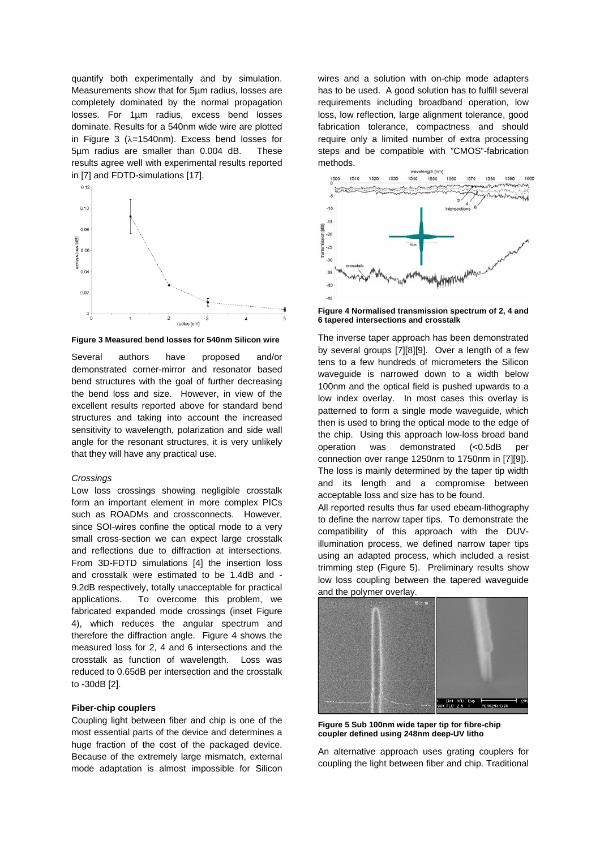quantify both experimentally and by simulation. Measurements show that for 5µm radius, losses are completely dominated by the normal propagation losses. For 1µm radius, excess bend losses dominate. Results for a 540nm wide wire are plotted in [Figure 3](#page-2-0) (λ=1540nm). Excess bend losses for 5µm radius are smaller than 0.004 dB. These results agree well with experimental results reported in [\[7\] a](#page-3-8)nd FDTD-simulations [\[17\].](#page-3-11) 

<span id="page-2-0"></span>

**Figure 3 Measured bend losses for 540nm Silicon wire** 

Several authors have proposed and/or demonstrated corner-mirror and resonator based bend structures with the goal of further decreasing the bend loss and size. However, in view of the excellent results reported above for standard bend structures and taking into account the increased sensitivity to wavelength, polarization and side wall angle for the resonant structures, it is very unlikely that they will have any practical use.

#### *Crossings*

Low loss crossings showing negligible crosstalk form an important element in more complex PICs such as ROADMs and crossconnects. However, since SOI-wires confine the optical mode to a very small cross-section we can expect large crosstalk and reflections due to diffraction at intersections. From 3D-FDTD simulations [\[4\]](#page-3-12) the insertion loss and crosstalk were estimated to be 1.4dB and - 9.2dB respectively, totally unacceptable for practical applications. To overcome this problem, we fabricated expanded mode crossings (inset [Figure](#page-2-1) [4\)](#page-2-1), which reduces the angular spectrum and therefore the diffraction angle. [Figure 4](#page-2-1) shows the measured loss for 2, 4 and 6 intersections and the crosstalk as function of wavelength. Loss was reduced to 0.65dB per intersection and the crosstalk to -30dB [\[2\].](#page-3-5)

#### **Fiber-chip couplers**

Coupling light between fiber and chip is one of the most essential parts of the device and determines a huge fraction of the cost of the packaged device. Because of the extremely large mismatch, external mode adaptation is almost impossible for Silicon wires and a solution with on-chip mode adapters has to be used. A good solution has to fulfill several requirements including broadband operation, low loss, low reflection, large alignment tolerance, good fabrication tolerance, compactness and should require only a limited number of extra processing steps and be compatible with "CMOS"-fabrication methods.

<span id="page-2-1"></span>

**Figure 4 Normalised transmission spectrum of 2, 4 and 6 tapered intersections and crosstalk** 

The inverse taper approach has been demonstrated by several groups [\[7\]\[](#page-3-8)[8\]](#page-3-9)[\[9\].](#page-3-1) Over a length of a few tens to a few hundreds of micrometers the Silicon waveguide is narrowed down to a width below 100nm and the optical field is pushed upwards to a low index overlay. In most cases this overlay is patterned to form a single mode waveguide, which then is used to bring the optical mode to the edge of the chip. Using this approach low-loss broad band operation was demonstrated (<0.5dB per connection over range 1250nm to 1750nm in [\[7\]](#page-3-8)[\[9\]\)](#page-3-1). The loss is mainly determined by the taper tip width and its length and a compromise between acceptable loss and size has to be found.

All reported results thus far used ebeam-lithography to define the narrow taper tips. To demonstrate the compatibility of this approach with the DUVillumination process, we defined narrow taper tips using an adapted process, which included a resist trimming step ([Figure 5\)](#page-2-2). Preliminary results show low loss coupling between the tapered waveguide and the polymer overlay.

<span id="page-2-2"></span>

**Figure 5 Sub 100nm wide taper tip for fibre-chip coupler defined using 248nm deep-UV litho** 

An alternative approach uses grating couplers for coupling the light between fiber and chip. Traditional